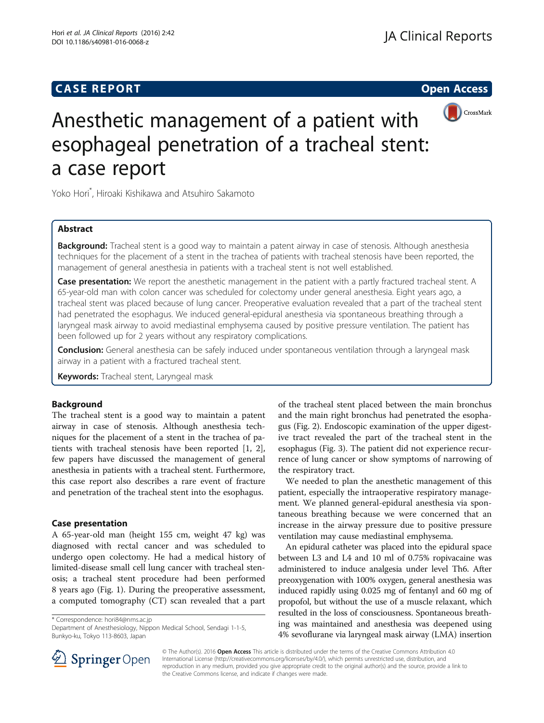# **CASE REPORT CASE REPORT CASE REPORT**



# Anesthetic management of a patient with esophageal penetration of a tracheal stent: a case report

Yoko Hori\* , Hiroaki Kishikawa and Atsuhiro Sakamoto

# Abstract

**Background:** Tracheal stent is a good way to maintain a patent airway in case of stenosis. Although anesthesia techniques for the placement of a stent in the trachea of patients with tracheal stenosis have been reported, the management of general anesthesia in patients with a tracheal stent is not well established.

Case presentation: We report the anesthetic management in the patient with a partly fractured tracheal stent. A 65-year-old man with colon cancer was scheduled for colectomy under general anesthesia. Eight years ago, a tracheal stent was placed because of lung cancer. Preoperative evaluation revealed that a part of the tracheal stent had penetrated the esophagus. We induced general-epidural anesthesia via spontaneous breathing through a laryngeal mask airway to avoid mediastinal emphysema caused by positive pressure ventilation. The patient has been followed up for 2 years without any respiratory complications.

**Conclusion:** General anesthesia can be safely induced under spontaneous ventilation through a laryngeal mask airway in a patient with a fractured tracheal stent.

Keywords: Tracheal stent, Laryngeal mask

## Background

The tracheal stent is a good way to maintain a patent airway in case of stenosis. Although anesthesia techniques for the placement of a stent in the trachea of patients with tracheal stenosis have been reported [[1, 2](#page-2-0)], few papers have discussed the management of general anesthesia in patients with a tracheal stent. Furthermore, this case report also describes a rare event of fracture and penetration of the tracheal stent into the esophagus.

#### Case presentation

A 65-year-old man (height 155 cm, weight 47 kg) was diagnosed with rectal cancer and was scheduled to undergo open colectomy. He had a medical history of limited-disease small cell lung cancer with tracheal stenosis; a tracheal stent procedure had been performed 8 years ago (Fig. [1](#page-1-0)). During the preoperative assessment, a computed tomography (CT) scan revealed that a part

\* Correspondence: [hori84@nms.ac.jp](mailto:hori84@nms.ac.jp)

Department of Anesthesiology, Nippon Medical School, Sendagi 1-1-5, Bunkyo-ku, Tokyo 113-8603, Japan

of the tracheal stent placed between the main bronchus and the main right bronchus had penetrated the esophagus (Fig. [2\)](#page-1-0). Endoscopic examination of the upper digestive tract revealed the part of the tracheal stent in the esophagus (Fig. [3](#page-1-0)). The patient did not experience recurrence of lung cancer or show symptoms of narrowing of the respiratory tract.

We needed to plan the anesthetic management of this patient, especially the intraoperative respiratory management. We planned general-epidural anesthesia via spontaneous breathing because we were concerned that an increase in the airway pressure due to positive pressure ventilation may cause mediastinal emphysema.

An epidural catheter was placed into the epidural space between L3 and L4 and 10 ml of 0.75% ropivacaine was administered to induce analgesia under level Th6. After preoxygenation with 100% oxygen, general anesthesia was induced rapidly using 0.025 mg of fentanyl and 60 mg of propofol, but without the use of a muscle relaxant, which resulted in the loss of consciousness. Spontaneous breathing was maintained and anesthesia was deepened using 4% sevoflurane via laryngeal mask airway (LMA) insertion



© The Author(s). 2016 Open Access This article is distributed under the terms of the Creative Commons Attribution 4.0 International License ([http://creativecommons.org/licenses/by/4.0/\)](http://creativecommons.org/licenses/by/4.0/), which permits unrestricted use, distribution, and reproduction in any medium, provided you give appropriate credit to the original author(s) and the source, provide a link to the Creative Commons license, and indicate if changes were made.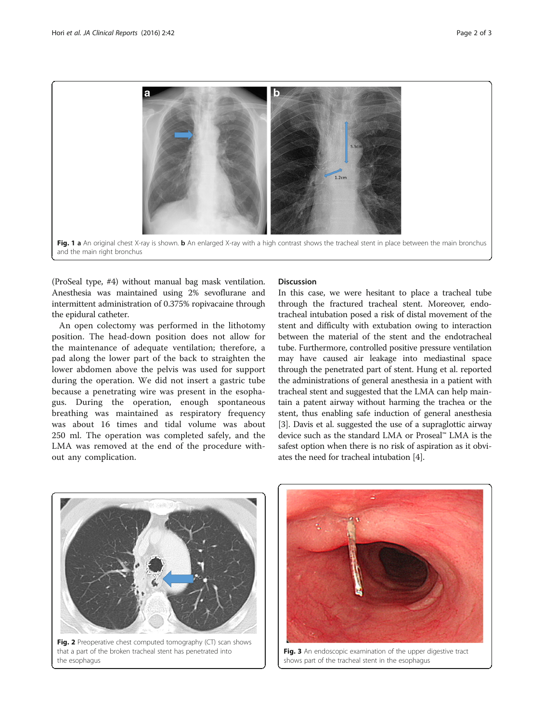<span id="page-1-0"></span>

(ProSeal type, #4) without manual bag mask ventilation. Anesthesia was maintained using 2% sevoflurane and intermittent administration of 0.375% ropivacaine through the epidural catheter.

An open colectomy was performed in the lithotomy position. The head-down position does not allow for the maintenance of adequate ventilation; therefore, a pad along the lower part of the back to straighten the lower abdomen above the pelvis was used for support during the operation. We did not insert a gastric tube because a penetrating wire was present in the esophagus. During the operation, enough spontaneous breathing was maintained as respiratory frequency was about 16 times and tidal volume was about 250 ml. The operation was completed safely, and the LMA was removed at the end of the procedure without any complication.

#### **Discussion**

In this case, we were hesitant to place a tracheal tube through the fractured tracheal stent. Moreover, endotracheal intubation posed a risk of distal movement of the stent and difficulty with extubation owing to interaction between the material of the stent and the endotracheal tube. Furthermore, controlled positive pressure ventilation may have caused air leakage into mediastinal space through the penetrated part of stent. Hung et al. reported the administrations of general anesthesia in a patient with tracheal stent and suggested that the LMA can help maintain a patent airway without harming the trachea or the stent, thus enabling safe induction of general anesthesia [[3\]](#page-2-0). Davis et al. suggested the use of a supraglottic airway device such as the standard LMA or Proseal™ LMA is the safest option when there is no risk of aspiration as it obviates the need for tracheal intubation [\[4\]](#page-2-0).



that a part of the broken tracheal stent has penetrated into the esophagus



Fig. 3 An endoscopic examination of the upper digestive tract shows part of the tracheal stent in the esophagus